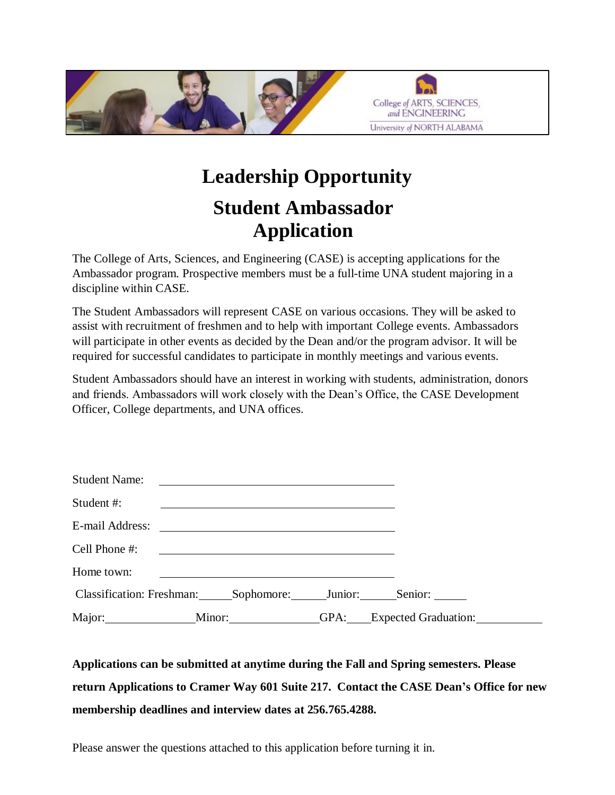

## **Leadership Opportunity Student Ambassador Application**

The College of Arts, Sciences, and Engineering (CASE) is accepting applications for the Ambassador program. Prospective members must be a full-time UNA student majoring in a discipline within CASE.

The Student Ambassadors will represent CASE on various occasions. They will be asked to assist with recruitment of freshmen and to help with important College events. Ambassadors will participate in other events as decided by the Dean and/or the program advisor. It will be required for successful candidates to participate in monthly meetings and various events.

Student Ambassadors should have an interest in working with students, administration, donors and friends. Ambassadors will work closely with the Dean's Office, the CASE Development Officer, College departments, and UNA offices.

| <b>Student Name:</b>                                        |                                      | <u> Alexandria de la contrada de la contrada de la contrada de la contrada de la contrada de la contrada de la c</u> |                           |  |
|-------------------------------------------------------------|--------------------------------------|----------------------------------------------------------------------------------------------------------------------|---------------------------|--|
| Student #:                                                  |                                      |                                                                                                                      |                           |  |
|                                                             |                                      |                                                                                                                      |                           |  |
| Cell Phone #:                                               |                                      | <u> 1989 - Andrea Branden, amerikansk politik (</u>                                                                  |                           |  |
| Home town:                                                  |                                      |                                                                                                                      |                           |  |
| Classification: Freshman: Sophomore: Junior: Senior: ______ |                                      |                                                                                                                      |                           |  |
|                                                             | $M$ inor: $\_\_\_\_\_\_\_\_\_\_\_\_$ |                                                                                                                      | GPA: Expected Graduation: |  |

## **Applications can be submitted at anytime during the Fall and Spring semesters. Please return Applications to Cramer Way 601 Suite 217. Contact the CASE Dean's Office for new membership deadlines and interview dates at 256.765.4288.**

Please answer the questions attached to this application before turning it in.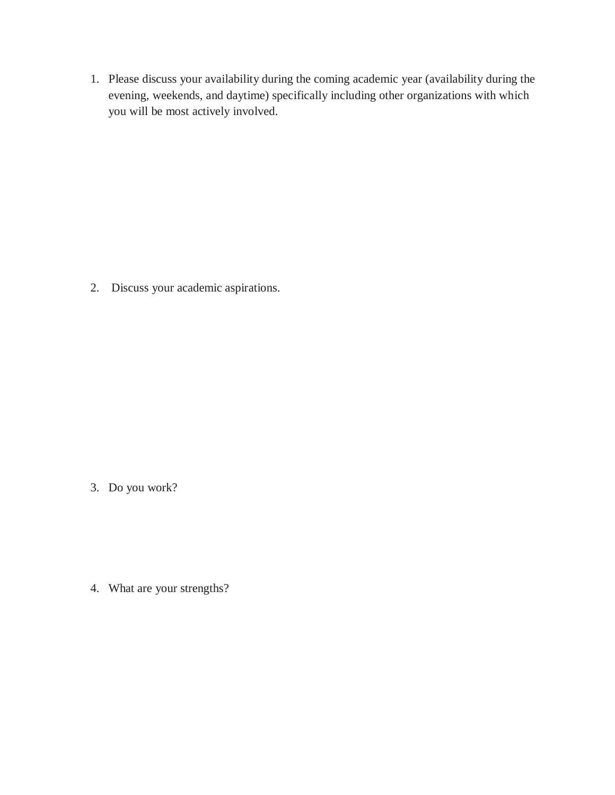1. Please discuss your availability during the coming academic year (availability during the evening, weekends, and daytime) specifically including other organizations with which you will be most actively involved.

2. Discuss your academic aspirations.

3. Do you work?

4. What are your strengths?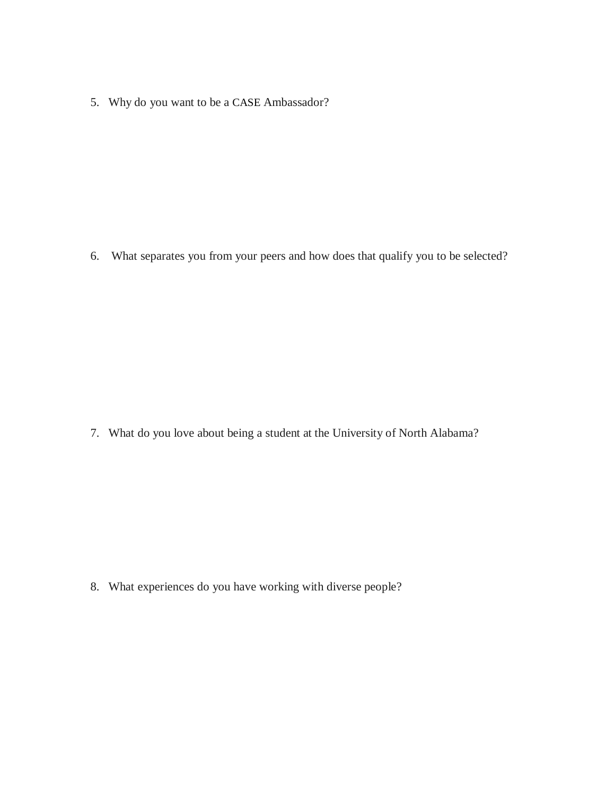5. Why do you want to be a CASE Ambassador?

6. What separates you from your peers and how does that qualify you to be selected?

7. What do you love about being a student at the University of North Alabama?

8. What experiences do you have working with diverse people?